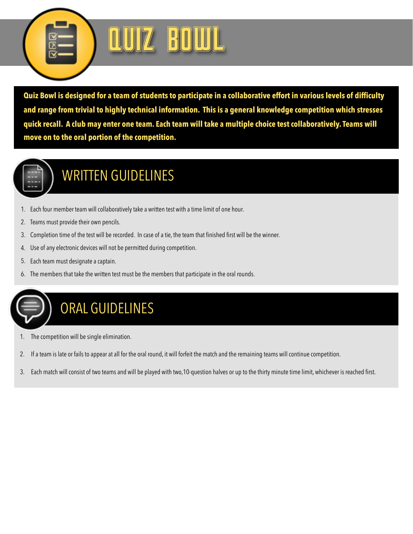

**Quiz Bowl is designed for a team of students to participate in a collaborative effort in various levels of difficulty and range from trivial to highly technical information. This is a general knowledge competition which stresses quick recall. A club may enter one team. Each team will take a multiple choice test collaboratively. Teams will move on to the oral portion of the competition.** 



#### WRITTEN GUIDELINES

- 1. Each four member team will collaboratively take a written test with a time limit of one hour.
- 2. Teams must provide their own pencils.
- 3. Completion time of the test will be recorded. In case of a tie, the team that finished first will be the winner.
- 4. Use of any electronic devices will not be permitted during competition.
- 5. Each team must designate a captain.
- 6. The members that take the written test must be the members that participate in the oral rounds.



- The competition will be single elimination.
- 2. If a team is late or fails to appear at all for the oral round, it will forfeit the match and the remaining teams will continue competition.
- 3. Each match will consist of two teams and will be played with two,10-question halves or up to the thirty minute time limit, whichever is reached first.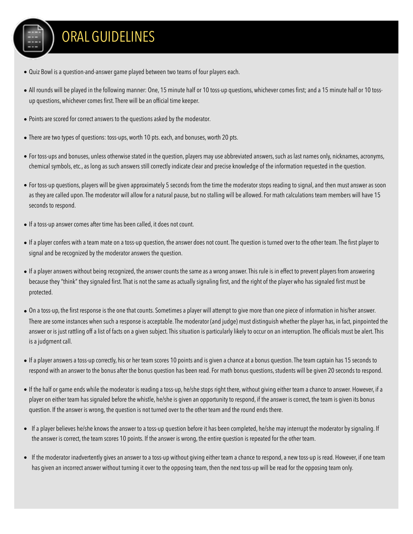### ORAL GUIDELINES

- Quiz Bowl is a question-and-answer game played between two teams of four players each.
- All rounds will be played in the following manner: One, 15 minute half or 10 toss-up questions, whichever comes first; and a 15 minute half or 10 tossup questions, whichever comes first. There will be an official time keeper.
- Points are scored for correct answers to the questions asked by the moderator.
- There are two types of questions: toss-ups, worth 10 pts. each, and bonuses, worth 20 pts.
- For toss-ups and bonuses, unless otherwise stated in the question, players may use abbreviated answers, such as last names only, nicknames, acronyms, chemical symbols, etc., as long as such answers still correctly indicate clear and precise knowledge of the information requested in the question.
- For toss-up questions, players will be given approximately 5 seconds from the time the moderator stops reading to signal, and then must answer as soon as they are called upon. The moderator will allow for a natural pause, but no stalling will be allowed. For math calculations team members will have 15 seconds to respond.
- If a toss-up answer comes after time has been called, it does not count.
- If a player confers with a team mate on a toss-up question, the answer does not count. The question is turned over to the other team. The first player to signal and be recognized by the moderator answers the question.
- If a player answers without being recognized, the answer counts the same as a wrong answer. This rule is in effect to prevent players from answering because they "think" they signaled first. That is not the same as actually signaling first, and the right of the player who has signaled first must be protected.
- On a toss-up, the first response is the one that counts. Sometimes a player will attempt to give more than one piece of information in his/her answer. There are some instances when such a response is acceptable. The moderator (and judge) must distinguish whether the player has, in fact, pinpointed the answer or is just rattling off a list of facts on a given subject. This situation is particularly likely to occur on an interruption. The officials must be alert. This is a judgment call.
- If a player answers a toss-up correctly, his or her team scores 10 points and is given a chance at a bonus question. The team captain has 15 seconds to respond with an answer to the bonus after the bonus question has been read. For math bonus questions, students will be given 20 seconds to respond.
- If the half or game ends while the moderator is reading a toss-up, he/she stops right there, without giving either team a chance to answer. However, if a player on either team has signaled before the whistle, he/she is given an opportunity to respond, if the answer is correct, the team is given its bonus question. If the answer is wrong, the question is not turned over to the other team and the round ends there.
- If a player believes he/she knows the answer to a toss-up question before it has been completed, he/she may interrupt the moderator by signaling. If the answer is correct, the team scores 10 points. If the answer is wrong, the entire question is repeated for the other team.
- If the moderator inadvertently gives an answer to a toss-up without giving either team a chance to respond, a new toss-up is read. However, if one team has given an incorrect answer without turning it over to the opposing team, then the next toss-up will be read for the opposing team only.